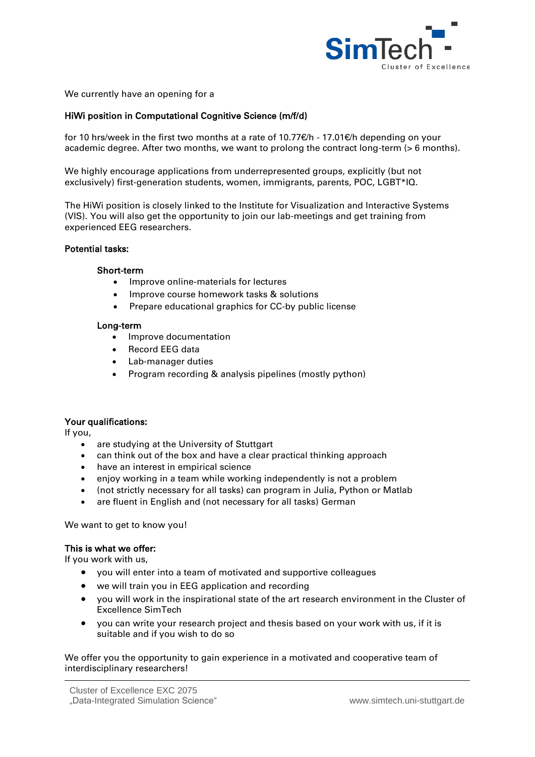

We currently have an opening for a

# HiWi position in Computational Cognitive Science (m/f/d)

for 10 hrs/week in the first two months at a rate of 10.77€/h - 17.01€/h depending on your academic degree. After two months, we want to prolong the contract long-term (> 6 months).

We highly encourage applications from underrepresented groups, explicitly (but not exclusively) first-generation students, women, immigrants, parents, POC, LGBT\*IQ.

The HiWi position is closely linked to the Institute for Visualization and Interactive Systems (VIS). You will also get the opportunity to join our lab-meetings and get training from experienced EEG researchers.

### Potential tasks:

### Short-term

- Improve online-materials for lectures
- Improve course homework tasks & solutions
- Prepare educational graphics for CC-by public license

### Long-term

- Improve documentation
- Record EEG data
- Lab-manager duties
- Program recording & analysis pipelines (mostly python)

## Your qualifications:

If you,

- are studying at the University of Stuttgart
- can think out of the box and have a clear practical thinking approach
- have an interest in empirical science
- enjoy working in a team while working independently is not a problem
- (not strictly necessary for all tasks) can program in Julia, Python or Matlab
- are fluent in English and (not necessary for all tasks) German

We want to get to know you!

## This is what we offer:

If you work with us,

- you will enter into a team of motivated and supportive colleagues
- we will train you in EEG application and recording
- you will work in the inspirational state of the art research environment in the Cluster of Excellence SimTech
- you can write your research project and thesis based on your work with us, if it is suitable and if you wish to do so

We offer you the opportunity to gain experience in a motivated and cooperative team of interdisciplinary researchers!